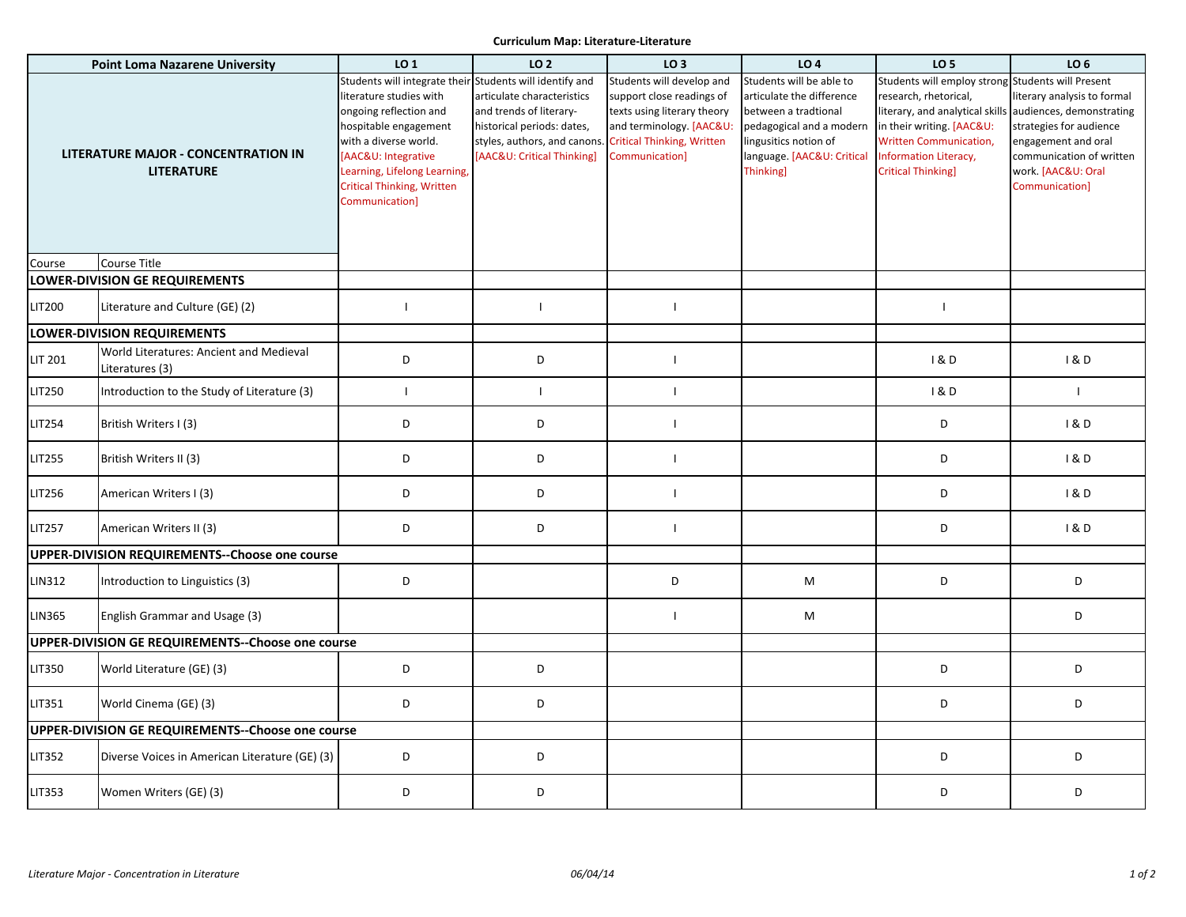## **Curriculum Map: Literature-Literature**

| <b>Point Loma Nazarene University</b>                           |                                                            | LO 1                                                                                                                                                                                                                                                                          | LO <sub>2</sub>                                                                                                                                  | LO <sub>3</sub>                                                                                                                                                          | LO <sub>4</sub>                                                                                                                                                                     | LO <sub>5</sub>                                                                                                                                                                                                            | LO <sub>6</sub>                                                                                                                                                               |
|-----------------------------------------------------------------|------------------------------------------------------------|-------------------------------------------------------------------------------------------------------------------------------------------------------------------------------------------------------------------------------------------------------------------------------|--------------------------------------------------------------------------------------------------------------------------------------------------|--------------------------------------------------------------------------------------------------------------------------------------------------------------------------|-------------------------------------------------------------------------------------------------------------------------------------------------------------------------------------|----------------------------------------------------------------------------------------------------------------------------------------------------------------------------------------------------------------------------|-------------------------------------------------------------------------------------------------------------------------------------------------------------------------------|
| <b>LITERATURE MAJOR - CONCENTRATION IN</b><br><b>LITERATURE</b> |                                                            | Students will integrate their Students will identify and<br>literature studies with<br>ongoing reflection and<br>hospitable engagement<br>with a diverse world.<br>[AAC&U: Integrative<br>Learning, Lifelong Learning,<br><b>Critical Thinking, Written</b><br>Communication] | articulate characteristics<br>and trends of literary-<br>historical periods: dates,<br>styles, authors, and canons<br>[AAC&U: Critical Thinking] | Students will develop and<br>support close readings of<br>texts using literary theory<br>and terminology. [AAC&U:<br><b>Critical Thinking, Written</b><br>Communication] | Students will be able to<br>articulate the difference<br>between a tradtional<br>pedagogical and a modern<br>lingusitics notion of<br>language. [AAC&U: Critical<br><b>Thinking</b> | Students will employ strong Students will Present<br>research, rhetorical,<br>literary, and analytical skill:<br>in their writing. [AAC&U:<br>Written Communication,<br>Information Literacy,<br><b>Critical Thinking]</b> | literary analysis to formal<br>audiences, demonstrating<br>strategies for audience<br>engagement and oral<br>communication of written<br>work. [AAC&U: Oral<br>Communication] |
| Course                                                          | Course Title                                               |                                                                                                                                                                                                                                                                               |                                                                                                                                                  |                                                                                                                                                                          |                                                                                                                                                                                     |                                                                                                                                                                                                                            |                                                                                                                                                                               |
|                                                                 | <b>LOWER-DIVISION GE REQUIREMENTS</b>                      |                                                                                                                                                                                                                                                                               |                                                                                                                                                  |                                                                                                                                                                          |                                                                                                                                                                                     |                                                                                                                                                                                                                            |                                                                                                                                                                               |
| LIT200                                                          | Literature and Culture (GE) (2)                            | $\mathbf{I}$                                                                                                                                                                                                                                                                  | $\mathbf{I}$                                                                                                                                     |                                                                                                                                                                          |                                                                                                                                                                                     | $\mathbf{I}$                                                                                                                                                                                                               |                                                                                                                                                                               |
|                                                                 | <b>LOWER-DIVISION REQUIREMENTS</b>                         |                                                                                                                                                                                                                                                                               |                                                                                                                                                  |                                                                                                                                                                          |                                                                                                                                                                                     |                                                                                                                                                                                                                            |                                                                                                                                                                               |
| <b>LIT 201</b>                                                  | World Literatures: Ancient and Medieval<br>Literatures (3) | D                                                                                                                                                                                                                                                                             | D                                                                                                                                                | $\mathbf{I}$                                                                                                                                                             |                                                                                                                                                                                     | 1&0                                                                                                                                                                                                                        | 1&0                                                                                                                                                                           |
| <b>LIT250</b>                                                   | Introduction to the Study of Literature (3)                | $\mathbf{I}$                                                                                                                                                                                                                                                                  | $\mathbf{I}$                                                                                                                                     | $\blacksquare$                                                                                                                                                           |                                                                                                                                                                                     | 1 & D                                                                                                                                                                                                                      | $\mathbf{I}$                                                                                                                                                                  |
| LIT254                                                          | British Writers I (3)                                      | D                                                                                                                                                                                                                                                                             | D                                                                                                                                                | $\mathbf{I}$                                                                                                                                                             |                                                                                                                                                                                     | D                                                                                                                                                                                                                          | 1&0                                                                                                                                                                           |
| LIT255                                                          | British Writers II (3)                                     | D                                                                                                                                                                                                                                                                             | D                                                                                                                                                | $\mathbf{I}$                                                                                                                                                             |                                                                                                                                                                                     | D                                                                                                                                                                                                                          | 1&D                                                                                                                                                                           |
| LIT256                                                          | American Writers I (3)                                     | D                                                                                                                                                                                                                                                                             | D                                                                                                                                                | $\mathbf{I}$                                                                                                                                                             |                                                                                                                                                                                     | D                                                                                                                                                                                                                          | 1&0                                                                                                                                                                           |
| <b>LIT257</b>                                                   | American Writers II (3)                                    | D                                                                                                                                                                                                                                                                             | D                                                                                                                                                | $\mathbf{I}$                                                                                                                                                             |                                                                                                                                                                                     | D                                                                                                                                                                                                                          | 1&0                                                                                                                                                                           |
|                                                                 | UPPER-DIVISION REQUIREMENTS--Choose one course             |                                                                                                                                                                                                                                                                               |                                                                                                                                                  |                                                                                                                                                                          |                                                                                                                                                                                     |                                                                                                                                                                                                                            |                                                                                                                                                                               |
| LIN312                                                          | Introduction to Linguistics (3)                            | D                                                                                                                                                                                                                                                                             |                                                                                                                                                  | D                                                                                                                                                                        | M                                                                                                                                                                                   | D                                                                                                                                                                                                                          | D                                                                                                                                                                             |
| <b>LIN365</b>                                                   | English Grammar and Usage (3)                              |                                                                                                                                                                                                                                                                               |                                                                                                                                                  | $\mathbf{I}$                                                                                                                                                             | M                                                                                                                                                                                   |                                                                                                                                                                                                                            | D                                                                                                                                                                             |
|                                                                 | UPPER-DIVISION GE REQUIREMENTS--Choose one course          |                                                                                                                                                                                                                                                                               |                                                                                                                                                  |                                                                                                                                                                          |                                                                                                                                                                                     |                                                                                                                                                                                                                            |                                                                                                                                                                               |
| LIT350                                                          | World Literature (GE) (3)                                  | D                                                                                                                                                                                                                                                                             | D                                                                                                                                                |                                                                                                                                                                          |                                                                                                                                                                                     | D                                                                                                                                                                                                                          | D                                                                                                                                                                             |
| LIT351                                                          | World Cinema (GE) (3)                                      | D                                                                                                                                                                                                                                                                             | D                                                                                                                                                |                                                                                                                                                                          |                                                                                                                                                                                     | D                                                                                                                                                                                                                          | D                                                                                                                                                                             |
|                                                                 | UPPER-DIVISION GE REQUIREMENTS--Choose one course          |                                                                                                                                                                                                                                                                               |                                                                                                                                                  |                                                                                                                                                                          |                                                                                                                                                                                     |                                                                                                                                                                                                                            |                                                                                                                                                                               |
| LIT352                                                          | Diverse Voices in American Literature (GE) (3)             | D                                                                                                                                                                                                                                                                             | D                                                                                                                                                |                                                                                                                                                                          |                                                                                                                                                                                     | D                                                                                                                                                                                                                          | D                                                                                                                                                                             |
| LIT353                                                          | Women Writers (GE) (3)                                     | D                                                                                                                                                                                                                                                                             | D                                                                                                                                                |                                                                                                                                                                          |                                                                                                                                                                                     | D                                                                                                                                                                                                                          | D                                                                                                                                                                             |